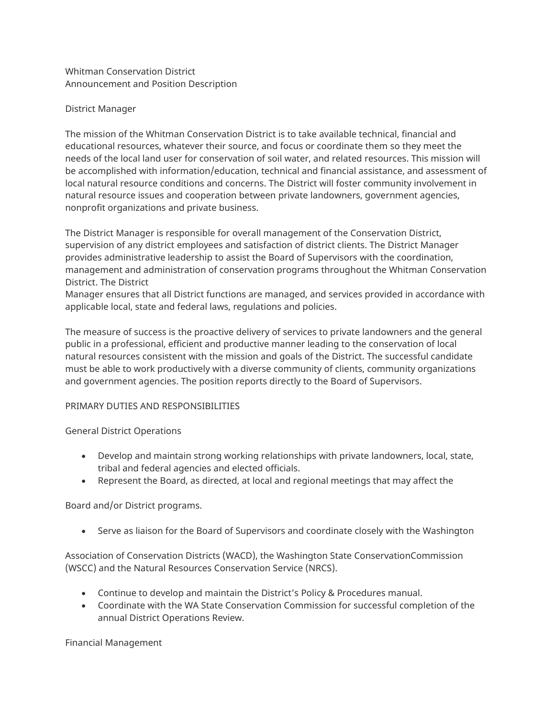Whitman Conservation District Announcement and Position Description

#### District Manager

The mission of the Whitman Conservation District is to take available technical, financial and educational resources, whatever their source, and focus or coordinate them so they meet the needs of the local land user for conservation of soil water, and related resources. This mission will be accomplished with information/education, technical and financial assistance, and assessment of local natural resource conditions and concerns. The District will foster community involvement in natural resource issues and cooperation between private landowners, government agencies, nonprofit organizations and private business.

The District Manager is responsible for overall management of the Conservation District, supervision of any district employees and satisfaction of district clients. The District Manager provides administrative leadership to assist the Board of Supervisors with the coordination, management and administration of conservation programs throughout the Whitman Conservation District. The District

Manager ensures that all District functions are managed, and services provided in accordance with applicable local, state and federal laws, regulations and policies.

The measure of success is the proactive delivery of services to private landowners and the general public in a professional, efficient and productive manner leading to the conservation of local natural resources consistent with the mission and goals of the District. The successful candidate must be able to work productively with a diverse community of clients, community organizations and government agencies. The position reports directly to the Board of Supervisors.

## PRIMARY DUTIES AND RESPONSIBILITIES

General District Operations

- Develop and maintain strong working relationships with private landowners, local, state, tribal and federal agencies and elected officials.
- Represent the Board, as directed, at local and regional meetings that may affect the

## Board and/or District programs.

• Serve as liaison for the Board of Supervisors and coordinate closely with the Washington

Association of Conservation Districts (WACD), the Washington State ConservationCommission (WSCC) and the Natural Resources Conservation Service (NRCS).

- Continue to develop and maintain the District's Policy & Procedures manual.
- Coordinate with the WA State Conservation Commission for successful completion of the annual District Operations Review.

Financial Management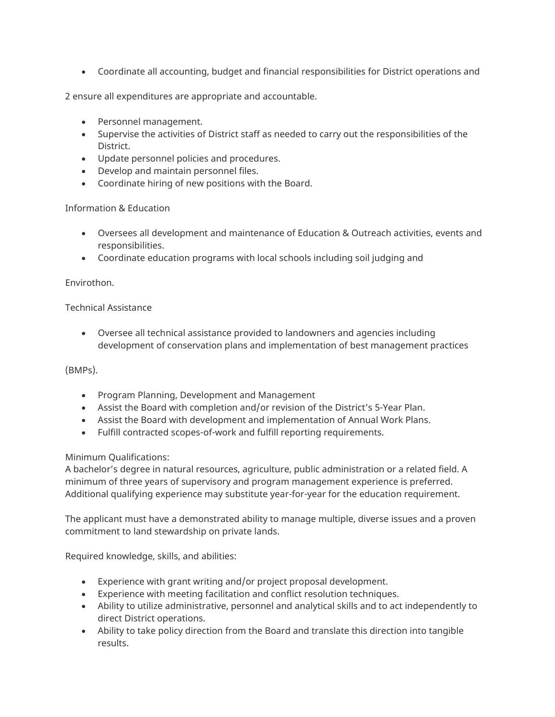• Coordinate all accounting, budget and financial responsibilities for District operations and

2 ensure all expenditures are appropriate and accountable.

- Personnel management.
- Supervise the activities of District staff as needed to carry out the responsibilities of the District.
- Update personnel policies and procedures.
- Develop and maintain personnel files.
- Coordinate hiring of new positions with the Board.

#### Information & Education

- Oversees all development and maintenance of Education & Outreach activities, events and responsibilities.
- Coordinate education programs with local schools including soil judging and

## Envirothon.

## Technical Assistance

• Oversee all technical assistance provided to landowners and agencies including development of conservation plans and implementation of best management practices

## (BMPs).

- Program Planning, Development and Management
- Assist the Board with completion and/or revision of the District's 5-Year Plan.
- Assist the Board with development and implementation of Annual Work Plans.
- Fulfill contracted scopes-of-work and fulfill reporting requirements.

## Minimum Qualifications:

A bachelor's degree in natural resources, agriculture, public administration or a related field. A minimum of three years of supervisory and program management experience is preferred. Additional qualifying experience may substitute year-for-year for the education requirement.

The applicant must have a demonstrated ability to manage multiple, diverse issues and a proven commitment to land stewardship on private lands.

Required knowledge, skills, and abilities:

- Experience with grant writing and/or project proposal development.
- Experience with meeting facilitation and conflict resolution techniques.
- Ability to utilize administrative, personnel and analytical skills and to act independently to direct District operations.
- Ability to take policy direction from the Board and translate this direction into tangible results.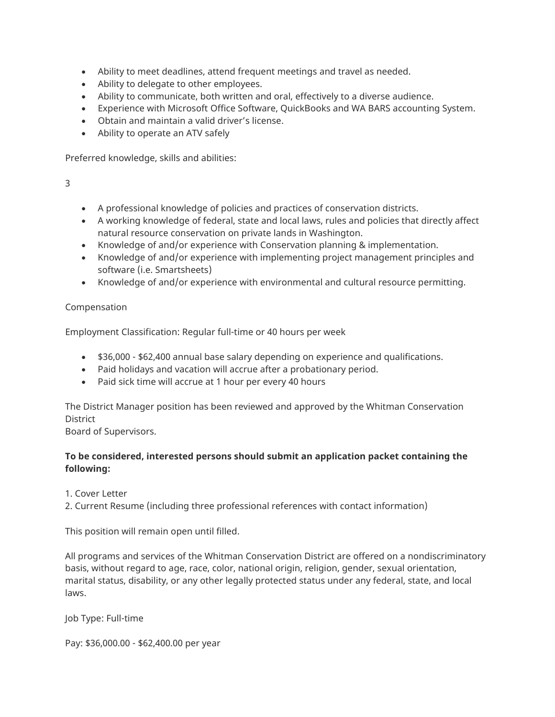- Ability to meet deadlines, attend frequent meetings and travel as needed.
- Ability to delegate to other employees.
- Ability to communicate, both written and oral, effectively to a diverse audience.
- Experience with Microsoft Office Software, QuickBooks and WA BARS accounting System.
- Obtain and maintain a valid driver's license.
- Ability to operate an ATV safely

Preferred knowledge, skills and abilities:

3

- A professional knowledge of policies and practices of conservation districts.
- A working knowledge of federal, state and local laws, rules and policies that directly affect natural resource conservation on private lands in Washington.
- Knowledge of and/or experience with Conservation planning & implementation.
- Knowledge of and/or experience with implementing project management principles and software (i.e. Smartsheets)
- Knowledge of and/or experience with environmental and cultural resource permitting.

#### Compensation

Employment Classification: Regular full-time or 40 hours per week

- \$36,000 \$62,400 annual base salary depending on experience and qualifications.
- Paid holidays and vacation will accrue after a probationary period.
- Paid sick time will accrue at 1 hour per every 40 hours

The District Manager position has been reviewed and approved by the Whitman Conservation **District** 

Board of Supervisors.

## **To be considered, interested persons should submit an application packet containing the following:**

1. Cover Letter

2. Current Resume (including three professional references with contact information)

This position will remain open until filled.

All programs and services of the Whitman Conservation District are offered on a nondiscriminatory basis, without regard to age, race, color, national origin, religion, gender, sexual orientation, marital status, disability, or any other legally protected status under any federal, state, and local laws.

Job Type: Full-time

Pay: \$36,000.00 - \$62,400.00 per year